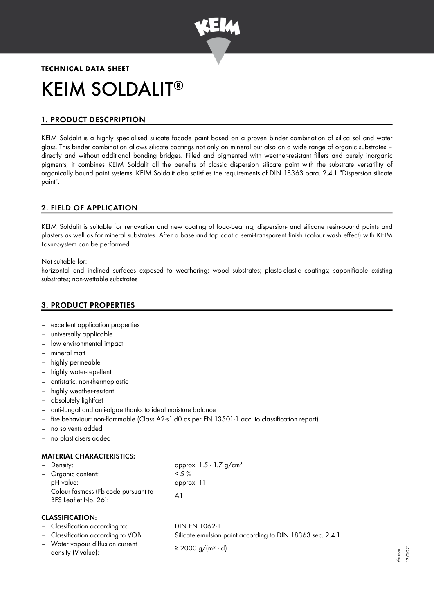

# **TECHNICAL DATA SHEET** KEIM SOLDALIT ®

# 1. PRODUCT DESCPRIPTION

KEIM Soldalit is a highly specialised silicate facade paint based on a proven binder combination of silica sol and water glass. This binder combination allows silicate coatings not only on mineral but also on a wide range of organic substrates – directly and without additional bonding bridges. Filled and pigmented with weather-resistant fillers and purely inorganic pigments, it combines KEIM Soldalit all the benefits of classic dispersion silicate paint with the substrate versatility of organically bound paint systems. KEIM Soldalit also satisfies the requirements of DIN 18363 para. 2.4.1 "Dispersion silicate paint".

# 2. FIELD OF APPLICATION

KEIM Soldalit is suitable for renovation and new coating of load-bearing, dispersion- and silicone resin-bound paints and plasters as well as for mineral substrates. After a base and top coat a semi-transparent finish (colour wash effect) with KEIM Lasur-System can be performed.

Not suitable for:

horizontal and inclined surfaces exposed to weathering; wood substrates; plasto-elastic coatings; saponifiable existing substrates; non-wettable substrates

# 3. PRODUCT PROPERTIES

- excellent application properties
- universally applicable
- low environmental impact
- mineral matt
- highly permeable
- highly water-repellent
- antistatic, non-thermoplastic
- highly weather-resitant
- absolutely lightfast
- anti-fungal and anti-algae thanks to ideal moisture balance
- fire behaviour: non-flammable (Class A2-s1,d0 as per EN 13501-1 acc. to classification report)
- no solvents added
- no plasticisers added

## MATERIAL CHARACTERISTICS:

| - Density:                             | approx. $1.5 - 1.7$ g/cm <sup>3</sup> |
|----------------------------------------|---------------------------------------|
| - Organic content:                     | $< 5 \%$                              |
| - pH value:                            | approx. 11                            |
| - Colour fastness (Fb-code pursuant to | A1                                    |
| BFS Leaflet No. 26):                   |                                       |

## CLASSIFICATION:

| - Classification according to:                         | DIN EN 1062-1                                             |
|--------------------------------------------------------|-----------------------------------------------------------|
| - Classification according to VOB:                     | Silicate emulsion paint according to DIN 18363 sec. 2.4.1 |
| - Water vapour diffusion current<br>density (V-value): | $\geq$ 2000 g/(m <sup>2</sup> · d)                        |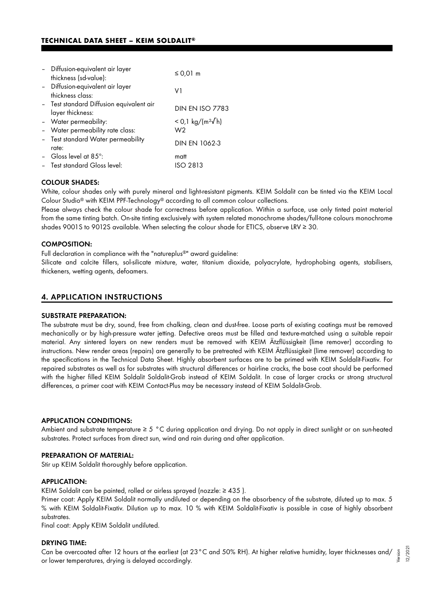## **TECHNICAL DATA SHEET – KEIM SOLDALIT®**

| - Diffusion-equivalent air layer<br>thickness (sd-value):    | $\leq$ 0,01 m                |
|--------------------------------------------------------------|------------------------------|
| - Diffusion-equivalent air layer<br>thickness class:         | V1                           |
| - Test standard Diffusion equivalent air<br>layer thickness: | <b>DIN EN ISO 7783</b>       |
| - Water permeability:                                        | < 0,1 kg/(m <sup>2</sup> √h) |
| - Water permeability rate class:                             | W2                           |
| - Test standard Water permeability<br>rate:                  | <b>DIN EN 1062-3</b>         |
| - Gloss level at 85 $^{\circ}$ :                             | matt                         |
| - Test standard Gloss level:                                 | ISO 2813                     |

## COLOUR SHADES:

White, colour shades only with purely mineral and light-resistant pigments. KEIM Soldalit can be tinted via the KEIM Local Colour Studio® with KEIM PPF-Technology® according to all common colour collections.

Please always check the colour shade for correctness before application. Within a surface, use only tinted paint material from the same tinting batch. On-site tinting exclusively with system related monochrome shades/full-tone colours monochrome shades 9001S to 9012S available. When selecting the colour shade for ETICS, observe LRV ≥ 30.

#### COMPOSITION:

Full declaration in compliance with the "natureplus®" award guideline:

Silicate and calcite fillers, sol-silicate mixture, water, titanium dioxide, polyacrylate, hydrophobing agents, stabilisers, thickeners, wetting agents, defoamers.

## 4. APPLICATION INSTRUCTIONS

#### SUBSTRATE PREPARATION:

The substrate must be dry, sound, free from chalking, clean and dust-free. Loose parts of existing coatings must be removed mechanically or by high-pressure water jetting. Defective areas must be filled and texture-matched using a suitable repair material. Any sintered layers on new renders must be removed with KEIM Ätzflüssigkeit (lime remover) according to instructions. New render areas (repairs) are generally to be pretreated with KEIM Ätzflüssigkeit (lime remover) according to the specifications in the Technical Data Sheet. Highly absorbent surfaces are to be primed with KEIM Soldalit-Fixativ. For repaired substrates as well as for substrates with structural differences or hairline cracks, the base coat should be performed with the higher filled KEIM Soldalit Soldalit-Grob instead of KEIM Soldalit. In case of larger cracks or strong structural differences, a primer coat with KEIM Contact-Plus may be necessary instead of KEIM Soldalit-Grob.

#### APPLICATION CONDITIONS:

Ambient and substrate temperature ≥ 5 °C during application and drying. Do not apply in direct sunlight or on sun-heated substrates. Protect surfaces from direct sun, wind and rain during and after application.

#### PREPARATION OF MATERIAL:

Stir up KEIM Soldalit thoroughly before application.

### APPLICATION:

KEIM Soldalit can be painted, rolled or airless sprayed (nozzle: ≥ 435 ).

Primer coat: Apply KEIM Soldalit normally undiluted or depending on the absorbency of the substrate, diluted up to max. 5 % with KEIM Soldalit-Fixativ. Dilution up to max. 10 % with KEIM Soldalit-Fixativ is possible in case of highly absorbent substrates.

Final coat: Apply KEIM Soldalit undiluted.

#### DRYING TIME:

Can be overcoated after 12 hours at the earliest (at 23°C and 50% RH). At higher relative humidity, layer thicknesses and/ or lower temperatures, drying is delayed accordingly. Version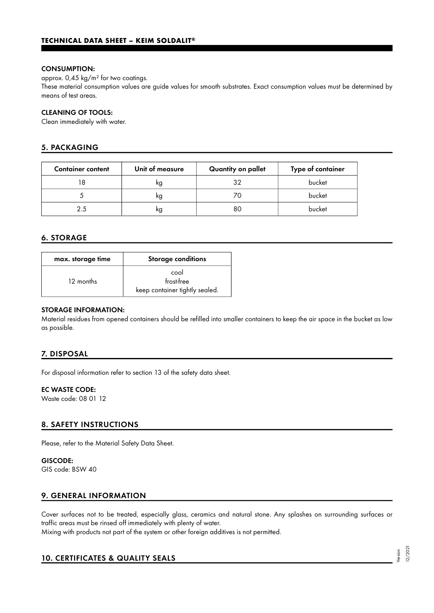## CONSUMPTION:

approx. 0,45 kg/m² for two coatings.

These material consumption values are guide values for smooth substrates. Exact consumption values must be determined by means of test areas.

## CLEANING OF TOOLS:

Clean immediately with water.

# 5. PACKAGING

| <b>Container content</b> | Unit of measure | Quantity on pallet | Type of container |
|--------------------------|-----------------|--------------------|-------------------|
|                          | ĸg              | 32                 | bucket            |
|                          | κg              | 70                 | bucket            |
| 2.5                      | κg              | 80                 | bucket            |

# 6. STORAGE

| max. storage time | <b>Storage conditions</b>                            |
|-------------------|------------------------------------------------------|
| 12 months         | cool<br>frost-free<br>keep container tightly sealed. |

## STORAGE INFORMATION:

Material residues from opened containers should be refilled into smaller containers to keep the air space in the bucket as low as possible.

# 7. DISPOSAL

For disposal information refer to section 13 of the safety data sheet.

## EC WASTE CODE:

Waste code: 08 01 12

## 8. SAFETY INSTRUCTIONS

Please, refer to the Material Safety Data Sheet.

## GISCODE:

GIS code: BSW 40

## 9. GENERAL INFORMATION

Cover surfaces not to be treated, especially glass, ceramics and natural stone. Any splashes on surrounding surfaces or traffic areas must be rinsed off immediately with plenty of water.

Mixing with products not part of the system or other foreign additives is not permitted.

# 10. CERTIFICATES & QUALITY SEALS